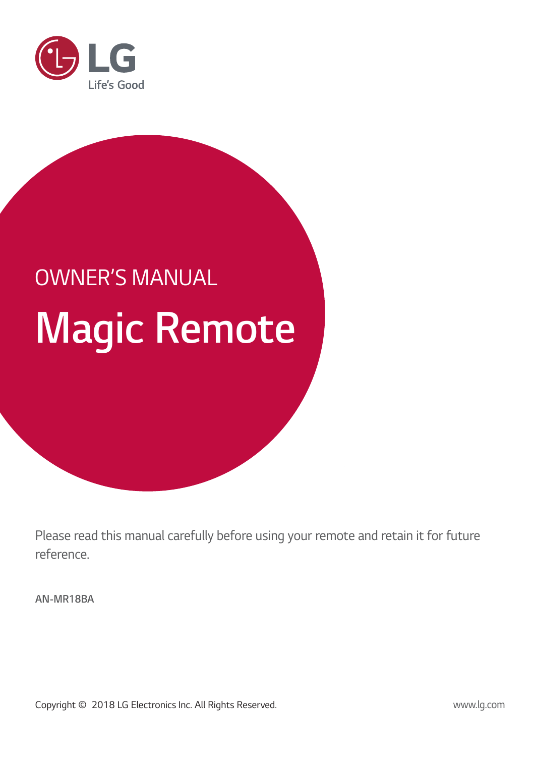

# **Magic Remote** OWNER'S MANUAL

Please read this manual carefully before using your remote and retain it for future reference.

**AN-MR18BA**

Copyright © 2018 LG Electronics Inc. All Rights Reserved.

www.lg.com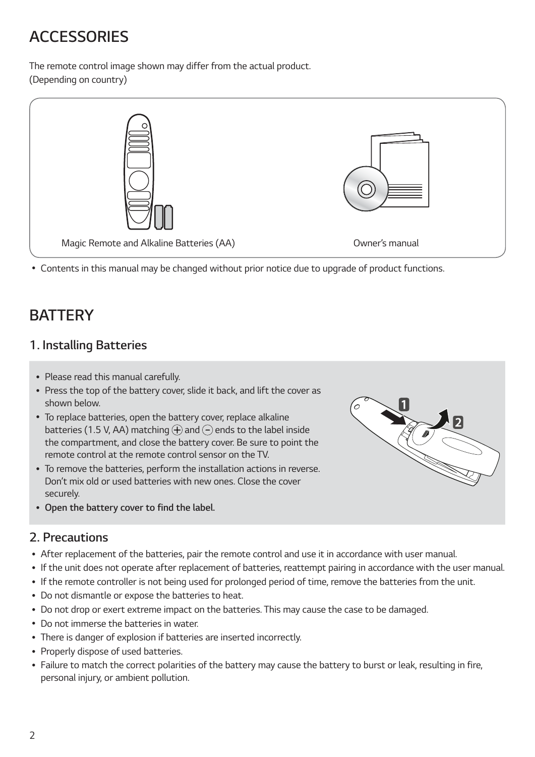# **ACCESSORIES**

The remote control image shown may differ from the actual product. (Depending on country)



ᯘ Contents in this manual may be changed without prior notice due to upgrade of product functions.

# **BATTERY**

## **1. Installing Batteries**

- Please read this manual carefully.
- Press the top of the battery cover, slide it back, and lift the cover as shown below.
- ᯘ To replace batteries, open the battery cover, replace alkaline batteries (1.5 V, AA) matching  $\overline{P}$  and  $\overline{P}$  ends to the label inside the compartment, and close the battery cover. Be sure to point the remote control at the remote control sensor on the TV.
- ᯘ To remove the batteries, perform the installation actions in reverse. Don't mix old or used batteries with new ones. Close the cover securely.
- ᯘ **Open the battery cover to find the label.**

#### **2. Precautions**

- ᯘ After replacement of the batteries, pair the remote control and use it in accordance with user manual.
- ᯘ If the unit does not operate after replacement of batteries, reattempt pairing in accordance with the user manual.

'0

- ᯘ If the remote controller is not being used for prolonged period of time, remove the batteries from the unit.
- Do not dismantle or expose the batteries to heat.
- ᯘ Do not drop or exert extreme impact on the batteries. This may cause the case to be damaged.
- ᯘ Do not immerse the batteries in water.
- ᯘ There is danger of explosion if batteries are inserted incorrectly.
- Properly dispose of used batteries.
- Failure to match the correct polarities of the battery may cause the battery to burst or leak, resulting in fire, personal injury, or ambient pollution.

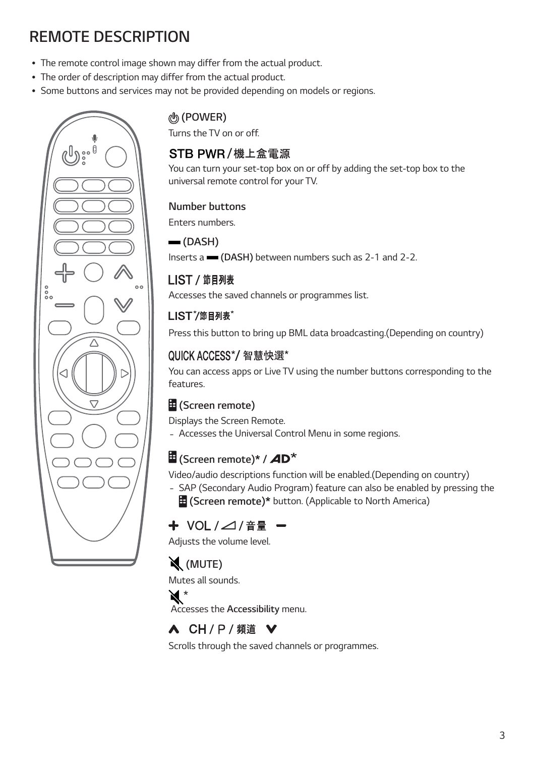# **REMOTE DESCRIPTION**

- The remote control image shown may differ from the actual product.
- The order of description may differ from the actual product.
- ᯘ Some buttons and services may not be provided depending on models or regions.



## **(POWER)**

Turns the TV on or off.

## STB PWR/機上盒雷源

You can turn your set-top box on or off by adding the set-top box to the universal remote control for your TV.

#### **Number buttons**

Enters numbers.

#### **(DASH)**

Inserts a **(DASH)** between numbers such as 2-1 and 2-2.

## LIST / 節目列表

Accesses the saved channels or programmes list.

## LIST<sup>\*</sup>/節目列表<sup>\*</sup>

Press this button to bring up BML data broadcasting.(Depending on country)

## QUICK ACCESS\*/智慧快選\*

You can access apps or Live TV using the number buttons corresponding to the features.

## **(Screen remote)**

Displays the Screen Remote.

- Accesses the Universal Control Menu in some regions.

## **E** (Screen remote)\* / **AD**<sup>\*</sup>

Video/audio descriptions function will be enabled.(Depending on country)

- SAP (Secondary Audio Program) feature can also be enabled by pressing the  **(Screen remote)\*** button. (Applicable to North America)

# + VOL /⊿/音量 -

Adjusts the volume level.

# **(MUTE)**

Mutes all sounds.

## $\mathbf{M}^*$

Accesses the **Accessibility** menu.

# A CH / P / 頻道 ∨

Scrolls through the saved channels or programmes.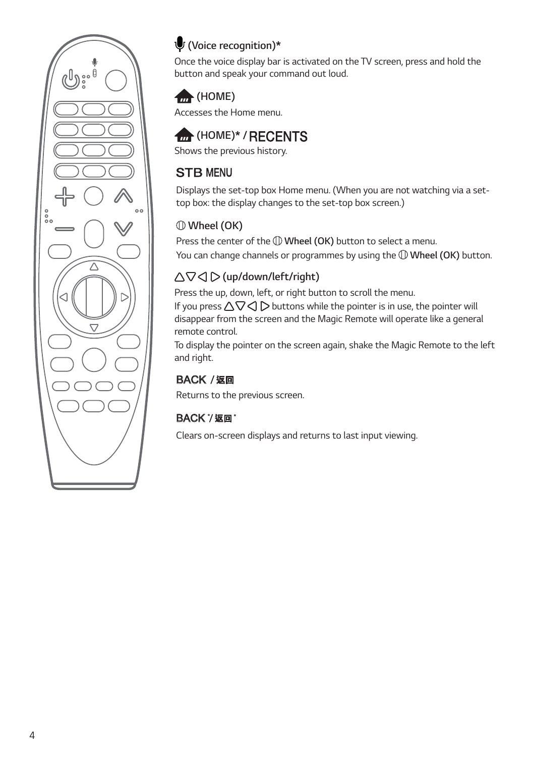

## **(Voice recognition)\***

Once the voice display bar is activated on the TV screen, press and hold the button and speak your command out loud.

## **(HOME)**

Accesses the Home menu.

# *<del>fm</del>* (HOME)\* / RECENTS

Shows the previous history.

## **STB MENU**

Displays the set-top box Home menu. (When you are not watching via a settop box: the display changes to the set-top box screen.)

## **Wheel (OK)**

Press the center of the **Wheel (OK)** button to select a menu. You can change channels or programmes by using the **Wheel (OK)** button.

## **(up/down/left/right)**

Press the up, down, left, or right button to scroll the menu.

If you press  $\Delta\nabla\triangleleft\triangleright$  buttons while the pointer is in use, the pointer will disappear from the screen and the Magic Remote will operate like a general remote control.

To display the pointer on the screen again, shake the Magic Remote to the left and right.

## **BACK / 返回**

Returns to the previous screen.

## **BACK \*/ 返回 \***

Clears on-screen displays and returns to last input viewing.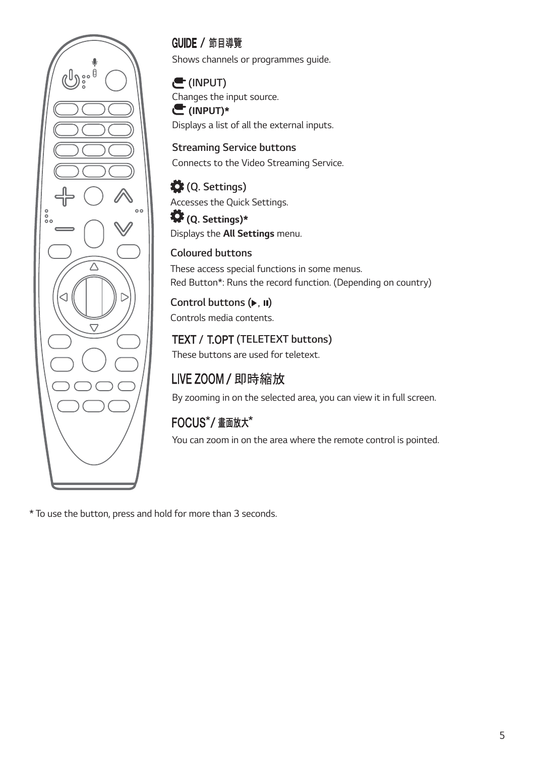

## GUIDE / 節目導覽

Shows channels or programmes guide.

#### **(INPUT)**

Changes the input source. **(INPUT)\***

Displays a list of all the external inputs.

**Streaming Service buttons** Connects to the Video Streaming Service.

## **(Q. Settings)**

Accesses the Quick Settings.

#### **(Q. Settings)\*** Displays the **All Settings** menu.

#### **Coloured buttons**

These access special functions in some menus. Red Button\*: Runs the record function. (Depending on country)

#### **Control buttons ( )** Controls media contents.

## **TELETEXT buttons)**

These buttons are used for teletext.

# LIVE ZOOM / 即時縮放

By zooming in on the selected area, you can view it in full screen.

# FOCUS\*/ 畫面放大\*

You can zoom in on the area where the remote control is pointed.

\* To use the button, press and hold for more than 3 seconds.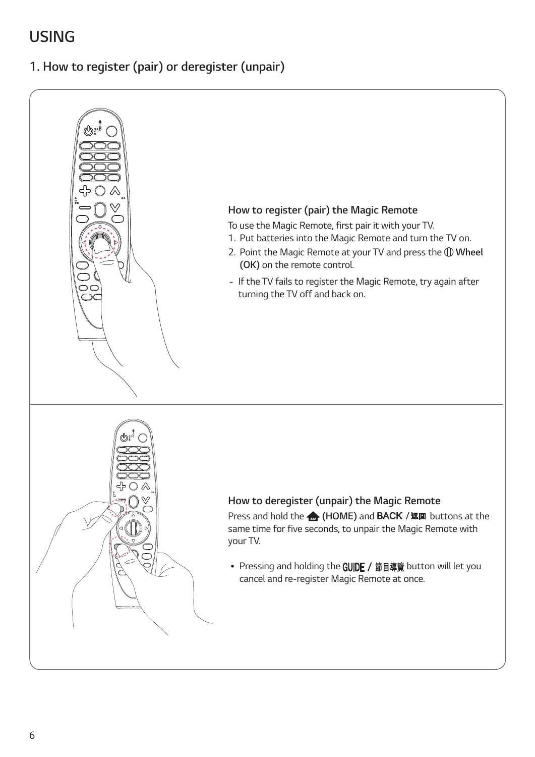# **USING**

**1. How to register (pair) or deregister (unpair)**

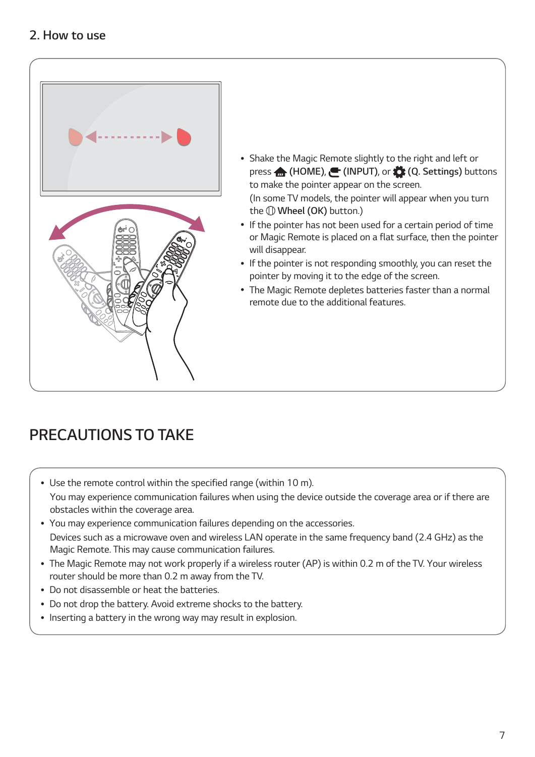

- ᯘ Shake the Magic Remote slightly to the right and left or press **(HOME)**, **(INPUT)**, or **(Q. Settings)** buttons to make the pointer appear on the screen. (In some TV models, the pointer will appear when you turn the **Wheel (OK)** button.)
- If the pointer has not been used for a certain period of time or Magic Remote is placed on a flat surface, then the pointer will disappear.
- ᯘ If the pointer is not responding smoothly, you can reset the pointer by moving it to the edge of the screen.
- The Magic Remote depletes batteries faster than a normal remote due to the additional features.

# **PRECAUTIONS TO TAKE**

- ᯘ Use the remote control within the specified range (within 10 m). You may experience communication failures when using the device outside the coverage area or if there are obstacles within the coverage area.
- ᯘ You may experience communication failures depending on the accessories. Devices such as a microwave oven and wireless LAN operate in the same frequency band (2.4 GHz) as the Magic Remote. This may cause communication failures.
- ᯘ The Magic Remote may not work properly if a wireless router (AP) is within 0.2 m of the TV. Your wireless router should be more than 0.2 m away from the TV.
- Do not disassemble or heat the batteries.
- ᯘ Do not drop the battery. Avoid extreme shocks to the battery.
- Inserting a battery in the wrong way may result in explosion.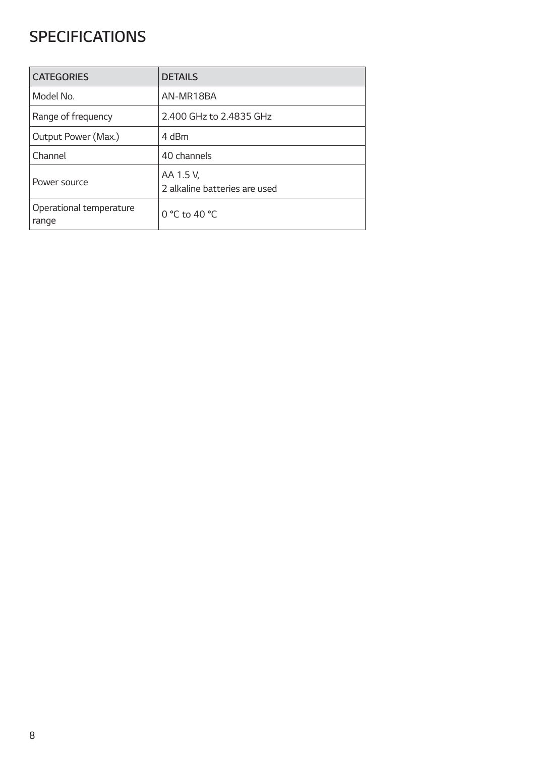# **SPECIFICATIONS**

| <b>CATEGORIES</b>                | <b>DETAILS</b>                             |
|----------------------------------|--------------------------------------------|
| Model No.                        | AN-MR18BA                                  |
| Range of frequency               | 2.400 GHz to 2.4835 GHz                    |
| Output Power (Max.)              | 4 dBm                                      |
| Channel                          | 40 channels                                |
| Power source                     | AA 1.5 V,<br>2 alkaline batteries are used |
| Operational temperature<br>range | 0 °C to 40 °C                              |